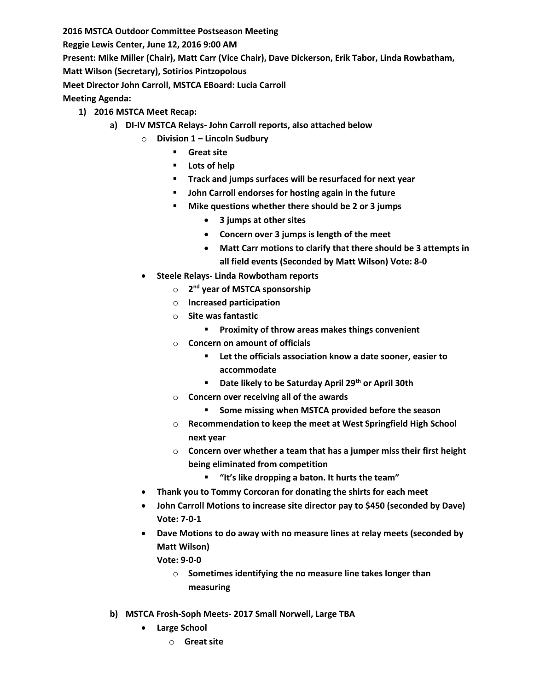**2016 MSTCA Outdoor Committee Postseason Meeting Reggie Lewis Center, June 12, 2016 9:00 AM Present: Mike Miller (Chair), Matt Carr (Vice Chair), Dave Dickerson, Erik Tabor, Linda Rowbatham, Matt Wilson (Secretary), Sotirios Pintzopolous Meet Director John Carroll, MSTCA EBoard: Lucia Carroll Meeting Agenda:**

- **1) 2016 MSTCA Meet Recap:**
	- **a) DI-IV MSTCA Relays- John Carroll reports, also attached below**
		- o **Division 1 – Lincoln Sudbury**
			- **Great site**
			- **Lots of help**
			- **Track and jumps surfaces will be resurfaced for next year**
			- **John Carroll endorses for hosting again in the future**
			- **Mike questions whether there should be 2 or 3 jumps**
				- **3 jumps at other sites**
				- **Concern over 3 jumps is length of the meet**
				- **Matt Carr motions to clarify that there should be 3 attempts in all field events (Seconded by Matt Wilson) Vote: 8-0**
		- **Steele Relays- Linda Rowbotham reports** 
			- o **2 nd year of MSTCA sponsorship**
			- o **Increased participation**
			- o **Site was fantastic**
				- **Proximity of throw areas makes things convenient**
			- o **Concern on amount of officials**
				- **Let the officials association know a date sooner, easier to accommodate**
				- **Date likely to be Saturday April 29th or April 30th**
			- o **Concern over receiving all of the awards**
				- **Some missing when MSTCA provided before the season**
			- o **Recommendation to keep the meet at West Springfield High School next year**
			- o **Concern over whether a team that has a jumper miss their first height being eliminated from competition**
				- **"It's like dropping a baton. It hurts the team"**
		- **Thank you to Tommy Corcoran for donating the shirts for each meet**
		- **John Carroll Motions to increase site director pay to \$450 (seconded by Dave) Vote: 7-0-1**
		- **Dave Motions to do away with no measure lines at relay meets (seconded by Matt Wilson)**
			- **Vote: 9-0-0**
				- o **Sometimes identifying the no measure line takes longer than measuring**
	- **b) MSTCA Frosh-Soph Meets- 2017 Small Norwell, Large TBA**
		- **Large School**
			- o **Great site**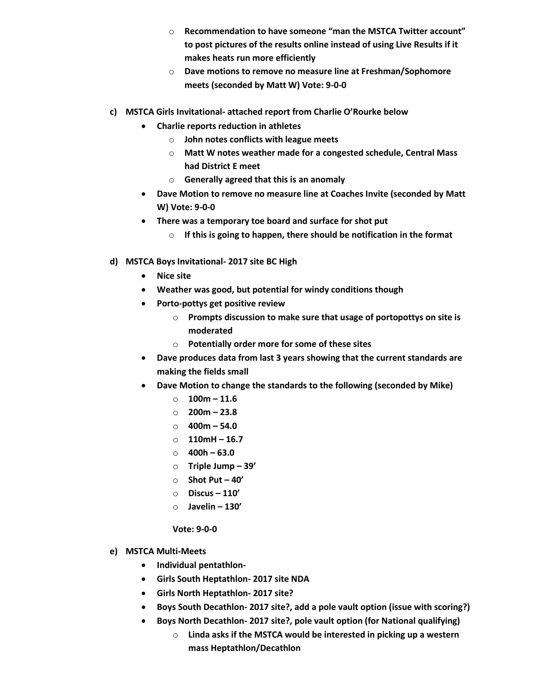- o **Recommendation to have someone "man the MSTCA Twitter account" to post pictures of the results online instead of using Live Results if it makes heats run more efficiently**
- o **Dave motions to remove no measure line at Freshman/Sophomore meets (seconded by Matt W) Vote: 9-0-0**
- **c) MSTCA Girls Invitational- attached report from Charlie O'Rourke below**
	- **Charlie reports reduction in athletes**
		- o **John notes conflicts with league meets**
		- o **Matt W notes weather made for a congested schedule, Central Mass had District E meet**
		- o **Generally agreed that this is an anomaly**
	- **Dave Motion to remove no measure line at Coaches Invite (seconded by Matt W) Vote: 9-0-0**
	- **There was a temporary toe board and surface for shot put**
		- o **If this is going to happen, there should be notification in the format**
- **d) MSTCA Boys Invitational- 2017 site BC High**
	- **Nice site**
	- **Weather was good, but potential for windy conditions though**
	- **Porto-pottys get positive review**
		- o **Prompts discussion to make sure that usage of portopottys on site is moderated**
		- o **Potentially order more for some of these sites**
	- **Dave produces data from last 3 years showing that the current standards are making the fields small**
	- **Dave Motion to change the standards to the following (seconded by Mike)**
		- o **100m – 11.6**
		- o **200m – 23.8**
		- o **400m – 54.0**
		- o **110mH – 16.7**
		- o **400h – 63.0**
		- o **Triple Jump – 39'**
		- o **Shot Put – 40'**
		- o **Discus – 110'**
		- o **Javelin – 130'**

**Vote: 9-0-0**

- **e) MSTCA Multi-Meets**
	- **Individual pentathlon-**
	- **Girls South Heptathlon- 2017 site NDA**
	- **Girls North Heptathlon- 2017 site?**
	- **Boys South Decathlon- 2017 site?, add a pole vault option (issue with scoring?)**
	- **Boys North Decathlon- 2017 site?, pole vault option (for National qualifying)**
		- o **Linda asks if the MSTCA would be interested in picking up a western mass Heptathlon/Decathlon**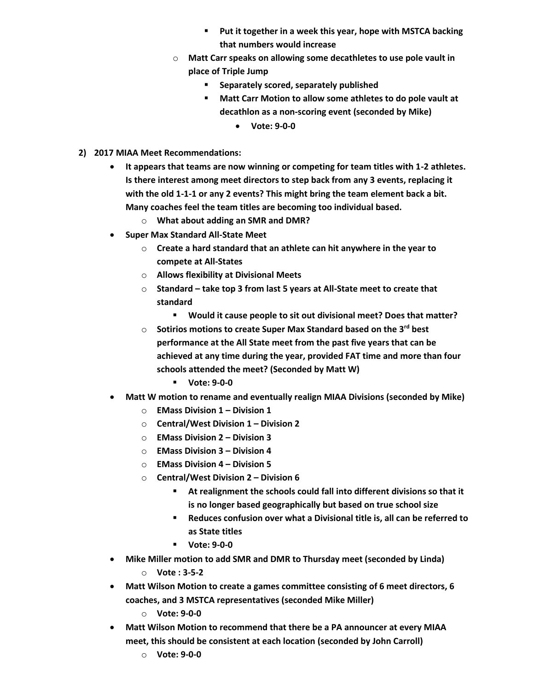- **Put it together in a week this year, hope with MSTCA backing that numbers would increase**
- o **Matt Carr speaks on allowing some decathletes to use pole vault in place of Triple Jump**
	- **E** Separately scored, separately published
	- **Matt Carr Motion to allow some athletes to do pole vault at decathlon as a non-scoring event (seconded by Mike)**
		- **Vote: 9-0-0**
- **2) 2017 MIAA Meet Recommendations:**
	- **It appears that teams are now winning or competing for team titles with 1-2 athletes. Is there interest among meet directors to step back from any 3 events, replacing it with the old 1-1-1 or any 2 events? This might bring the team element back a bit. Many coaches feel the team titles are becoming too individual based.**
		- o **What about adding an SMR and DMR?**
	- **Super Max Standard All-State Meet**
		- o **Create a hard standard that an athlete can hit anywhere in the year to compete at All-States**
		- o **Allows flexibility at Divisional Meets**
		- o **Standard – take top 3 from last 5 years at All-State meet to create that standard**
			- **Would it cause people to sit out divisional meet? Does that matter?**
		- o **Sotirios motions to create Super Max Standard based on the 3rd best performance at the All State meet from the past five years that can be achieved at any time during the year, provided FAT time and more than four schools attended the meet? (Seconded by Matt W)**
			- **Vote: 9-0-0**
	- **Matt W motion to rename and eventually realign MIAA Divisions (seconded by Mike)**
		- o **EMass Division 1 – Division 1**
		- o **Central/West Division 1 – Division 2**
		- o **EMass Division 2 – Division 3**
		- o **EMass Division 3 – Division 4**
		- o **EMass Division 4 – Division 5**
		- o **Central/West Division 2 – Division 6**
			- **At realignment the schools could fall into different divisions so that it is no longer based geographically but based on true school size**
			- **Reduces confusion over what a Divisional title is, all can be referred to as State titles**
			- **Vote: 9-0-0**
	- **Mike Miller motion to add SMR and DMR to Thursday meet (seconded by Linda)**
		- o **Vote : 3-5-2**
	- **Matt Wilson Motion to create a games committee consisting of 6 meet directors, 6 coaches, and 3 MSTCA representatives (seconded Mike Miller)**
		- o **Vote: 9-0-0**
	- **Matt Wilson Motion to recommend that there be a PA announcer at every MIAA meet, this should be consistent at each location (seconded by John Carroll)**
		- o **Vote: 9-0-0**